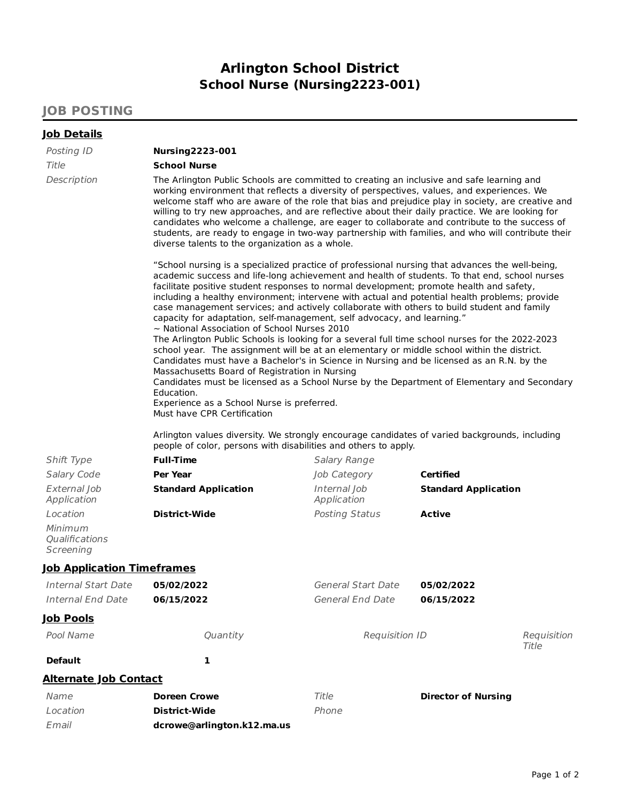## **Arlington School District School Nurse (Nursing2223-001)**

## **JOB POSTING**

| <u>Job Details</u>                     |                                                                                                                                                                                                                                                                                                                                                                                                                                                                                                                                                                                                                                                                                                                                                                                                                                                                                                                                                                                                                                                                                                                                                                                                                                                                                                                                                                                                                                                                                                                                                                                                                                                                                                                                                                                                                                   |                             |                               |  |
|----------------------------------------|-----------------------------------------------------------------------------------------------------------------------------------------------------------------------------------------------------------------------------------------------------------------------------------------------------------------------------------------------------------------------------------------------------------------------------------------------------------------------------------------------------------------------------------------------------------------------------------------------------------------------------------------------------------------------------------------------------------------------------------------------------------------------------------------------------------------------------------------------------------------------------------------------------------------------------------------------------------------------------------------------------------------------------------------------------------------------------------------------------------------------------------------------------------------------------------------------------------------------------------------------------------------------------------------------------------------------------------------------------------------------------------------------------------------------------------------------------------------------------------------------------------------------------------------------------------------------------------------------------------------------------------------------------------------------------------------------------------------------------------------------------------------------------------------------------------------------------------|-----------------------------|-------------------------------|--|
| Posting ID                             | <b>Nursing2223-001</b>                                                                                                                                                                                                                                                                                                                                                                                                                                                                                                                                                                                                                                                                                                                                                                                                                                                                                                                                                                                                                                                                                                                                                                                                                                                                                                                                                                                                                                                                                                                                                                                                                                                                                                                                                                                                            |                             |                               |  |
| Title                                  | <b>School Nurse</b>                                                                                                                                                                                                                                                                                                                                                                                                                                                                                                                                                                                                                                                                                                                                                                                                                                                                                                                                                                                                                                                                                                                                                                                                                                                                                                                                                                                                                                                                                                                                                                                                                                                                                                                                                                                                               |                             |                               |  |
| Description                            | The Arlington Public Schools are committed to creating an inclusive and safe learning and<br>working environment that reflects a diversity of perspectives, values, and experiences. We<br>welcome staff who are aware of the role that bias and prejudice play in society, are creative and<br>willing to try new approaches, and are reflective about their daily practice. We are looking for<br>candidates who welcome a challenge, are eager to collaborate and contribute to the success of<br>students, are ready to engage in two-way partnership with families, and who will contribute their<br>diverse talents to the organization as a whole.<br>"School nursing is a specialized practice of professional nursing that advances the well-being,<br>academic success and life-long achievement and health of students. To that end, school nurses<br>facilitate positive student responses to normal development; promote health and safety,<br>including a healthy environment; intervene with actual and potential health problems; provide<br>case management services; and actively collaborate with others to build student and family<br>capacity for adaptation, self-management, self advocacy, and learning."<br>$\sim$ National Association of School Nurses 2010<br>The Arlington Public Schools is looking for a several full time school nurses for the 2022-2023<br>school year. The assignment will be at an elementary or middle school within the district.<br>Candidates must have a Bachelor's in Science in Nursing and be licensed as an R.N. by the<br>Massachusetts Board of Registration in Nursing<br>Candidates must be licensed as a School Nurse by the Department of Elementary and Secondary<br>Education.<br>Experience as a School Nurse is preferred.<br>Must have CPR Certification |                             |                               |  |
|                                        |                                                                                                                                                                                                                                                                                                                                                                                                                                                                                                                                                                                                                                                                                                                                                                                                                                                                                                                                                                                                                                                                                                                                                                                                                                                                                                                                                                                                                                                                                                                                                                                                                                                                                                                                                                                                                                   |                             |                               |  |
|                                        | Arlington values diversity. We strongly encourage candidates of varied backgrounds, including<br>people of color, persons with disabilities and others to apply.                                                                                                                                                                                                                                                                                                                                                                                                                                                                                                                                                                                                                                                                                                                                                                                                                                                                                                                                                                                                                                                                                                                                                                                                                                                                                                                                                                                                                                                                                                                                                                                                                                                                  |                             |                               |  |
| Shift Type                             | <b>Full-Time</b>                                                                                                                                                                                                                                                                                                                                                                                                                                                                                                                                                                                                                                                                                                                                                                                                                                                                                                                                                                                                                                                                                                                                                                                                                                                                                                                                                                                                                                                                                                                                                                                                                                                                                                                                                                                                                  | <b>Salary Range</b>         |                               |  |
| Salary Code                            | <b>Per Year</b>                                                                                                                                                                                                                                                                                                                                                                                                                                                                                                                                                                                                                                                                                                                                                                                                                                                                                                                                                                                                                                                                                                                                                                                                                                                                                                                                                                                                                                                                                                                                                                                                                                                                                                                                                                                                                   | Job Category                | <b>Certified</b>              |  |
| External Job<br>Application            | <b>Standard Application</b>                                                                                                                                                                                                                                                                                                                                                                                                                                                                                                                                                                                                                                                                                                                                                                                                                                                                                                                                                                                                                                                                                                                                                                                                                                                                                                                                                                                                                                                                                                                                                                                                                                                                                                                                                                                                       | Internal Job<br>Application | <b>Standard Application</b>   |  |
| Location                               | <b>District-Wide</b>                                                                                                                                                                                                                                                                                                                                                                                                                                                                                                                                                                                                                                                                                                                                                                                                                                                                                                                                                                                                                                                                                                                                                                                                                                                                                                                                                                                                                                                                                                                                                                                                                                                                                                                                                                                                              | <b>Posting Status</b>       | <b>Active</b>                 |  |
| Minimum<br>Qualifications<br>Screening |                                                                                                                                                                                                                                                                                                                                                                                                                                                                                                                                                                                                                                                                                                                                                                                                                                                                                                                                                                                                                                                                                                                                                                                                                                                                                                                                                                                                                                                                                                                                                                                                                                                                                                                                                                                                                                   |                             |                               |  |
| <b>Job Application Timeframes</b>      |                                                                                                                                                                                                                                                                                                                                                                                                                                                                                                                                                                                                                                                                                                                                                                                                                                                                                                                                                                                                                                                                                                                                                                                                                                                                                                                                                                                                                                                                                                                                                                                                                                                                                                                                                                                                                                   |                             |                               |  |
| <b>Internal Start Date</b>             | 05/02/2022                                                                                                                                                                                                                                                                                                                                                                                                                                                                                                                                                                                                                                                                                                                                                                                                                                                                                                                                                                                                                                                                                                                                                                                                                                                                                                                                                                                                                                                                                                                                                                                                                                                                                                                                                                                                                        | <b>General Start Date</b>   | 05/02/2022                    |  |
| <b>Internal End Date</b>               | 06/15/2022                                                                                                                                                                                                                                                                                                                                                                                                                                                                                                                                                                                                                                                                                                                                                                                                                                                                                                                                                                                                                                                                                                                                                                                                                                                                                                                                                                                                                                                                                                                                                                                                                                                                                                                                                                                                                        | <b>General End Date</b>     | 06/15/2022                    |  |
| <u>Job Pools</u>                       |                                                                                                                                                                                                                                                                                                                                                                                                                                                                                                                                                                                                                                                                                                                                                                                                                                                                                                                                                                                                                                                                                                                                                                                                                                                                                                                                                                                                                                                                                                                                                                                                                                                                                                                                                                                                                                   |                             |                               |  |
| Pool Name                              | Quantity                                                                                                                                                                                                                                                                                                                                                                                                                                                                                                                                                                                                                                                                                                                                                                                                                                                                                                                                                                                                                                                                                                                                                                                                                                                                                                                                                                                                                                                                                                                                                                                                                                                                                                                                                                                                                          |                             | Requisition ID<br>Requisition |  |
|                                        |                                                                                                                                                                                                                                                                                                                                                                                                                                                                                                                                                                                                                                                                                                                                                                                                                                                                                                                                                                                                                                                                                                                                                                                                                                                                                                                                                                                                                                                                                                                                                                                                                                                                                                                                                                                                                                   |                             | Title                         |  |
| <b>Default</b>                         | 1                                                                                                                                                                                                                                                                                                                                                                                                                                                                                                                                                                                                                                                                                                                                                                                                                                                                                                                                                                                                                                                                                                                                                                                                                                                                                                                                                                                                                                                                                                                                                                                                                                                                                                                                                                                                                                 |                             |                               |  |
| <b>Alternate Job Contact</b>           |                                                                                                                                                                                                                                                                                                                                                                                                                                                                                                                                                                                                                                                                                                                                                                                                                                                                                                                                                                                                                                                                                                                                                                                                                                                                                                                                                                                                                                                                                                                                                                                                                                                                                                                                                                                                                                   |                             |                               |  |
| Name                                   | <b>Doreen Crowe</b>                                                                                                                                                                                                                                                                                                                                                                                                                                                                                                                                                                                                                                                                                                                                                                                                                                                                                                                                                                                                                                                                                                                                                                                                                                                                                                                                                                                                                                                                                                                                                                                                                                                                                                                                                                                                               | Title                       | <b>Director of Nursing</b>    |  |
| Location                               | <b>District-Wide</b>                                                                                                                                                                                                                                                                                                                                                                                                                                                                                                                                                                                                                                                                                                                                                                                                                                                                                                                                                                                                                                                                                                                                                                                                                                                                                                                                                                                                                                                                                                                                                                                                                                                                                                                                                                                                              | Phone                       |                               |  |
| Email                                  | dcrowe@arlington.k12.ma.us                                                                                                                                                                                                                                                                                                                                                                                                                                                                                                                                                                                                                                                                                                                                                                                                                                                                                                                                                                                                                                                                                                                                                                                                                                                                                                                                                                                                                                                                                                                                                                                                                                                                                                                                                                                                        |                             |                               |  |